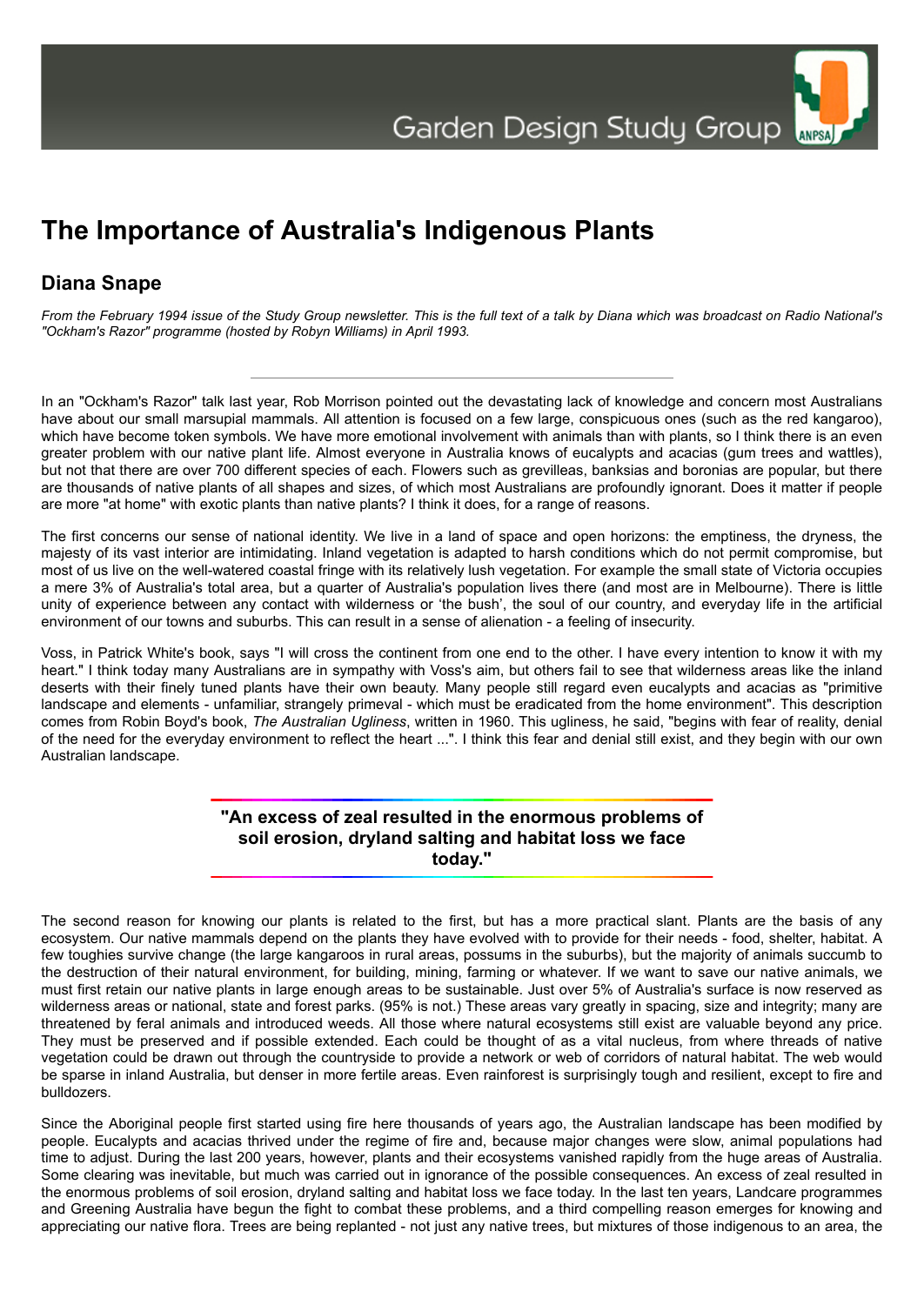

## **The Importance of Australia's Indigenous Plants**

## **Diana Snape**

*From the February 1994 issue of the Study Group newsletter. This is the full text of a talk by Diana which was broadcast on Radio National's "Ockham's Razor" programme (hosted by Robyn Williams) in April 1993.*

In an "Ockham's Razor" talk last year, Rob Morrison pointed out the devastating lack of knowledge and concern most Australians have about our small marsupial mammals. All attention is focused on a few large, conspicuous ones (such as the red kangaroo), which have become token symbols. We have more emotional involvement with animals than with plants, so I think there is an even greater problem with our native plant life. Almost everyone in Australia knows of eucalypts and acacias (gum trees and wattles), but not that there are over 700 different species of each. Flowers such as grevilleas, banksias and boronias are popular, but there are thousands of native plants of all shapes and sizes, of which most Australians are profoundly ignorant. Does it matter if people are more "at home" with exotic plants than native plants? I think it does, for a range of reasons.

The first concerns our sense of national identity. We live in a land of space and open horizons: the emptiness, the dryness, the majesty of its vast interior are intimidating. Inland vegetation is adapted to harsh conditions which do not permit compromise, but most of us live on the well-watered coastal fringe with its relatively lush vegetation. For example the small state of Victoria occupies a mere 3% of Australia's total area, but a quarter of Australia's population lives there (and most are in Melbourne). There is little unity of experience between any contact with wilderness or 'the bush', the soul of our country, and everyday life in the artificial environment of our towns and suburbs. This can result in a sense of alienation - a feeling of insecurity.

Voss, in Patrick White's book, says "I will cross the continent from one end to the other. I have every intention to know it with my heart." I think today many Australians are in sympathy with Voss's aim, but others fail to see that wilderness areas like the inland deserts with their finely tuned plants have their own beauty. Many people still regard even eucalypts and acacias as "primitive landscape and elements - unfamiliar, strangely primeval - which must be eradicated from the home environment". This description comes from Robin Boyd's book, *The Australian Ugliness*, written in 1960. This ugliness, he said, "begins with fear of reality, denial of the need for the everyday environment to reflect the heart ...". I think this fear and denial still exist, and they begin with our own Australian landscape.

> **"An excess of zeal resulted in the enormous problems of soil erosion, dryland salting and habitat loss we face today."**

The second reason for knowing our plants is related to the first, but has a more practical slant. Plants are the basis of any ecosystem. Our native mammals depend on the plants they have evolved with to provide for their needs - food, shelter, habitat. A few toughies survive change (the large kangaroos in rural areas, possums in the suburbs), but the majority of animals succumb to the destruction of their natural environment, for building, mining, farming or whatever. If we want to save our native animals, we must first retain our native plants in large enough areas to be sustainable. Just over 5% of Australia's surface is now reserved as wilderness areas or national, state and forest parks. (95% is not.) These areas vary greatly in spacing, size and integrity; many are threatened by feral animals and introduced weeds. All those where natural ecosystems still exist are valuable beyond any price. They must be preserved and if possible extended. Each could be thought of as a vital nucleus, from where threads of native vegetation could be drawn out through the countryside to provide a network or web of corridors of natural habitat. The web would be sparse in inland Australia, but denser in more fertile areas. Even rainforest is surprisingly tough and resilient, except to fire and bulldozers.

Since the Aboriginal people first started using fire here thousands of years ago, the Australian landscape has been modified by people. Eucalypts and acacias thrived under the regime of fire and, because major changes were slow, animal populations had time to adjust. During the last 200 years, however, plants and their ecosystems vanished rapidly from the huge areas of Australia. Some clearing was inevitable, but much was carried out in ignorance of the possible consequences. An excess of zeal resulted in the enormous problems of soil erosion, dryland salting and habitat loss we face today. In the last ten years, Landcare programmes and Greening Australia have begun the fight to combat these problems, and a third compelling reason emerges for knowing and appreciating our native flora. Trees are being replanted - not just any native trees, but mixtures of those indigenous to an area, the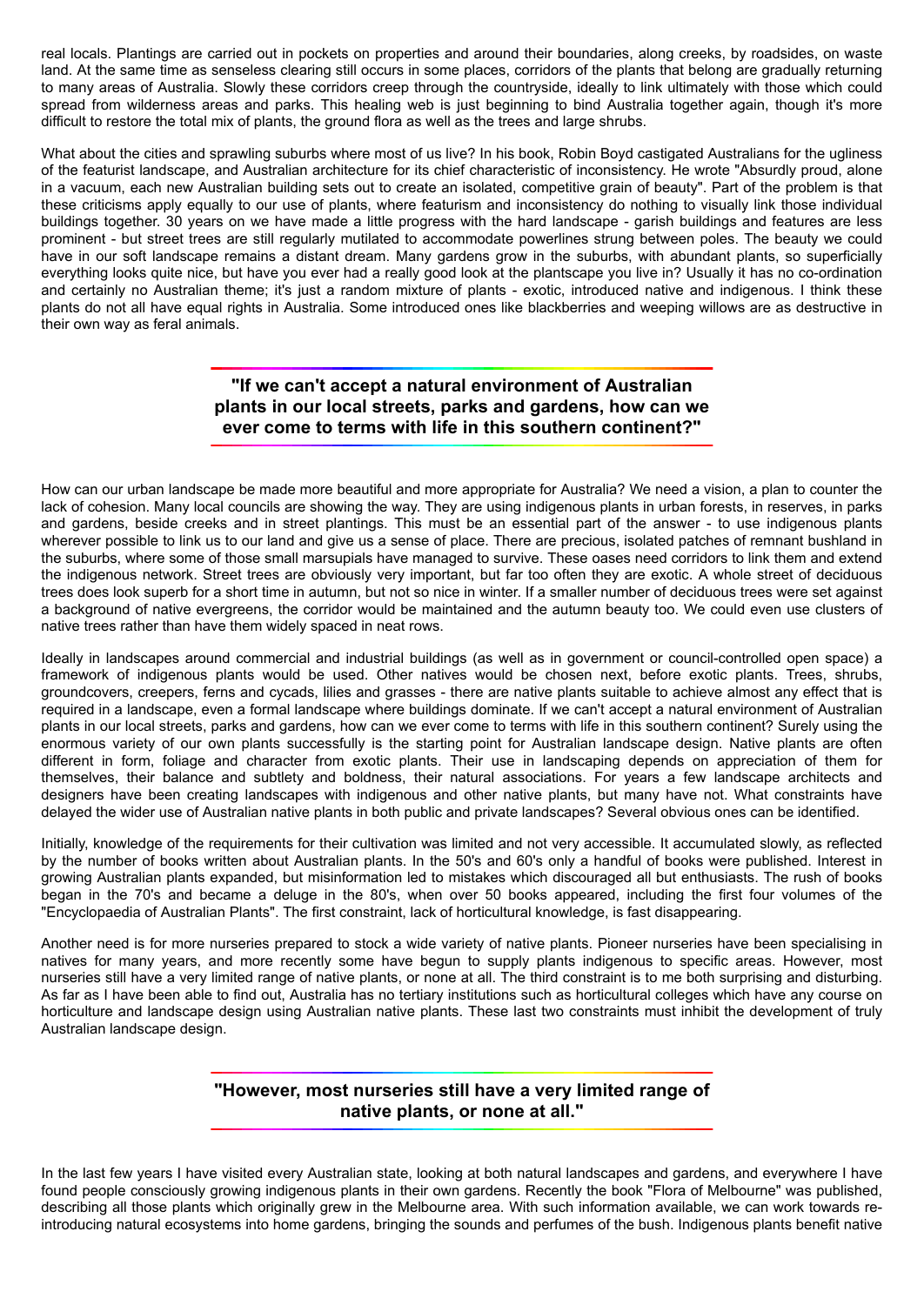real locals. Plantings are carried out in pockets on properties and around their boundaries, along creeks, by roadsides, on waste land. At the same time as senseless clearing still occurs in some places, corridors of the plants that belong are gradually returning to many areas of Australia. Slowly these corridors creep through the countryside, ideally to link ultimately with those which could spread from wilderness areas and parks. This healing web is just beginning to bind Australia together again, though it's more difficult to restore the total mix of plants, the ground flora as well as the trees and large shrubs.

What about the cities and sprawling suburbs where most of us live? In his book, Robin Boyd castigated Australians for the ugliness of the featurist landscape, and Australian architecture for its chief characteristic of inconsistency. He wrote "Absurdly proud, alone in a vacuum, each new Australian building sets out to create an isolated, competitive grain of beauty". Part of the problem is that these criticisms apply equally to our use of plants, where featurism and inconsistency do nothing to visually link those individual buildings together. 30 years on we have made a little progress with the hard landscape - garish buildings and features are less prominent - but street trees are still regularly mutilated to accommodate powerlines strung between poles. The beauty we could have in our soft landscape remains a distant dream. Many gardens grow in the suburbs, with abundant plants, so superficially everything looks quite nice, but have you ever had a really good look at the plantscape you live in? Usually it has no co-ordination and certainly no Australian theme; it's just a random mixture of plants - exotic, introduced native and indigenous. I think these plants do not all have equal rights in Australia. Some introduced ones like blackberries and weeping willows are as destructive in their own way as feral animals.

## **"If we can't accept a natural environment of Australian plants in our local streets, parks and gardens, how can we ever come to terms with life in this southern continent?"**

How can our urban landscape be made more beautiful and more appropriate for Australia? We need a vision, a plan to counter the lack of cohesion. Many local councils are showing the way. They are using indigenous plants in urban forests, in reserves, in parks and gardens, beside creeks and in street plantings. This must be an essential part of the answer - to use indigenous plants wherever possible to link us to our land and give us a sense of place. There are precious, isolated patches of remnant bushland in the suburbs, where some of those small marsupials have managed to survive. These oases need corridors to link them and extend the indigenous network. Street trees are obviously very important, but far too often they are exotic. A whole street of deciduous trees does look superb for a short time in autumn, but not so nice in winter. If a smaller number of deciduous trees were set against a background of native evergreens, the corridor would be maintained and the autumn beauty too. We could even use clusters of native trees rather than have them widely spaced in neat rows.

Ideally in landscapes around commercial and industrial buildings (as well as in government or council-controlled open space) a framework of indigenous plants would be used. Other natives would be chosen next, before exotic plants. Trees, shrubs, groundcovers, creepers, ferns and cycads, lilies and grasses - there are native plants suitable to achieve almost any effect that is required in a landscape, even a formal landscape where buildings dominate. If we can't accept a natural environment of Australian plants in our local streets, parks and gardens, how can we ever come to terms with life in this southern continent? Surely using the enormous variety of our own plants successfully is the starting point for Australian landscape design. Native plants are often different in form, foliage and character from exotic plants. Their use in landscaping depends on appreciation of them for themselves, their balance and subtlety and boldness, their natural associations. For years a few landscape architects and designers have been creating landscapes with indigenous and other native plants, but many have not. What constraints have delayed the wider use of Australian native plants in both public and private landscapes? Several obvious ones can be identified.

Initially, knowledge of the requirements for their cultivation was limited and not very accessible. It accumulated slowly, as reflected by the number of books written about Australian plants. In the 50's and 60's only a handful of books were published. Interest in growing Australian plants expanded, but misinformation led to mistakes which discouraged all but enthusiasts. The rush of books began in the 70's and became a deluge in the 80's, when over 50 books appeared, including the first four volumes of the "Encyclopaedia of Australian Plants". The first constraint, lack of horticultural knowledge, is fast disappearing.

Another need is for more nurseries prepared to stock a wide variety of native plants. Pioneer nurseries have been specialising in natives for many years, and more recently some have begun to supply plants indigenous to specific areas. However, most nurseries still have a very limited range of native plants, or none at all. The third constraint is to me both surprising and disturbing. As far as I have been able to find out, Australia has no tertiary institutions such as horticultural colleges which have any course on horticulture and landscape design using Australian native plants. These last two constraints must inhibit the development of truly Australian landscape design.

## **"However, most nurseries still have a very limited range of native plants, or none at all."**

In the last few years I have visited every Australian state, looking at both natural landscapes and gardens, and everywhere I have found people consciously growing indigenous plants in their own gardens. Recently the book "Flora of Melbourne" was published, describing all those plants which originally grew in the Melbourne area. With such information available, we can work towards reintroducing natural ecosystems into home gardens, bringing the sounds and perfumes of the bush. Indigenous plants benefit native